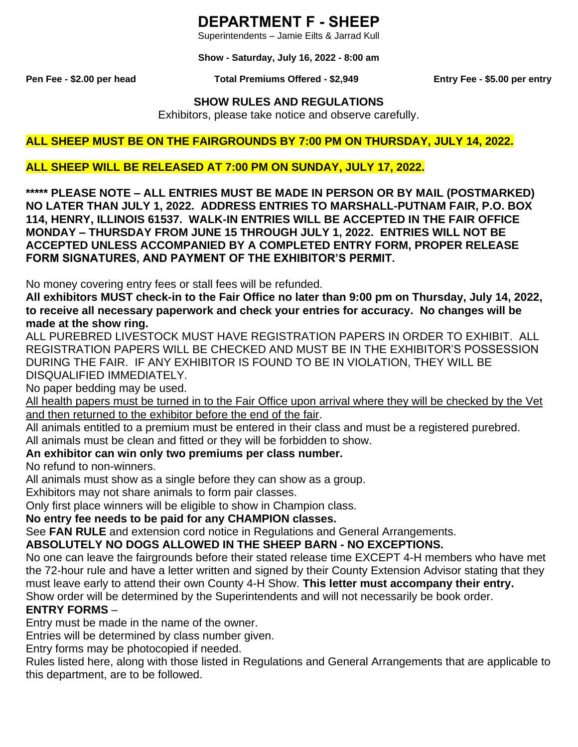# **DEPARTMENT F - SHEEP**

Superintendents – Jamie Eilts & Jarrad Kull

**Show - Saturday, July 16, 2022 - 8:00 am**

#### **Pen Fee - \$2.00 per head Total Premiums Offered - \$2,949 Entry Fee - \$5.00 per entry**

### **SHOW RULES AND REGULATIONS**

Exhibitors, please take notice and observe carefully.

#### **ALL SHEEP MUST BE ON THE FAIRGROUNDS BY 7:00 PM ON THURSDAY, JULY 14, 2022.**

#### **ALL SHEEP WILL BE RELEASED AT 7:00 PM ON SUNDAY, JULY 17, 2022.**

**\*\*\*\*\* PLEASE NOTE – ALL ENTRIES MUST BE MADE IN PERSON OR BY MAIL (POSTMARKED) NO LATER THAN JULY 1, 2022. ADDRESS ENTRIES TO MARSHALL-PUTNAM FAIR, P.O. BOX 114, HENRY, ILLINOIS 61537. WALK-IN ENTRIES WILL BE ACCEPTED IN THE FAIR OFFICE MONDAY – THURSDAY FROM JUNE 15 THROUGH JULY 1, 2022. ENTRIES WILL NOT BE ACCEPTED UNLESS ACCOMPANIED BY A COMPLETED ENTRY FORM, PROPER RELEASE FORM SIGNATURES, AND PAYMENT OF THE EXHIBITOR'S PERMIT.**

No money covering entry fees or stall fees will be refunded.

**All exhibitors MUST check-in to the Fair Office no later than 9:00 pm on Thursday, July 14, 2022, to receive all necessary paperwork and check your entries for accuracy. No changes will be made at the show ring.**

ALL PUREBRED LIVESTOCK MUST HAVE REGISTRATION PAPERS IN ORDER TO EXHIBIT. ALL REGISTRATION PAPERS WILL BE CHECKED AND MUST BE IN THE EXHIBITOR'S POSSESSION DURING THE FAIR. IF ANY EXHIBITOR IS FOUND TO BE IN VIOLATION, THEY WILL BE DISQUALIFIED IMMEDIATELY.

No paper bedding may be used.

All health papers must be turned in to the Fair Office upon arrival where they will be checked by the Vet and then returned to the exhibitor before the end of the fair.

All animals entitled to a premium must be entered in their class and must be a registered purebred. All animals must be clean and fitted or they will be forbidden to show.

#### **An exhibitor can win only two premiums per class number.**

No refund to non-winners.

All animals must show as a single before they can show as a group.

Exhibitors may not share animals to form pair classes.

Only first place winners will be eligible to show in Champion class.

**No entry fee needs to be paid for any CHAMPION classes.**

See **FAN RULE** and extension cord notice in Regulations and General Arrangements.

### **ABSOLUTELY NO DOGS ALLOWED IN THE SHEEP BARN - NO EXCEPTIONS.**

No one can leave the fairgrounds before their stated release time EXCEPT 4-H members who have met the 72-hour rule and have a letter written and signed by their County Extension Advisor stating that they must leave early to attend their own County 4-H Show. **This letter must accompany their entry.** Show order will be determined by the Superintendents and will not necessarily be book order.

# **ENTRY FORMS** –

Entry must be made in the name of the owner.

Entries will be determined by class number given.

Entry forms may be photocopied if needed.

Rules listed here, along with those listed in Regulations and General Arrangements that are applicable to this department, are to be followed.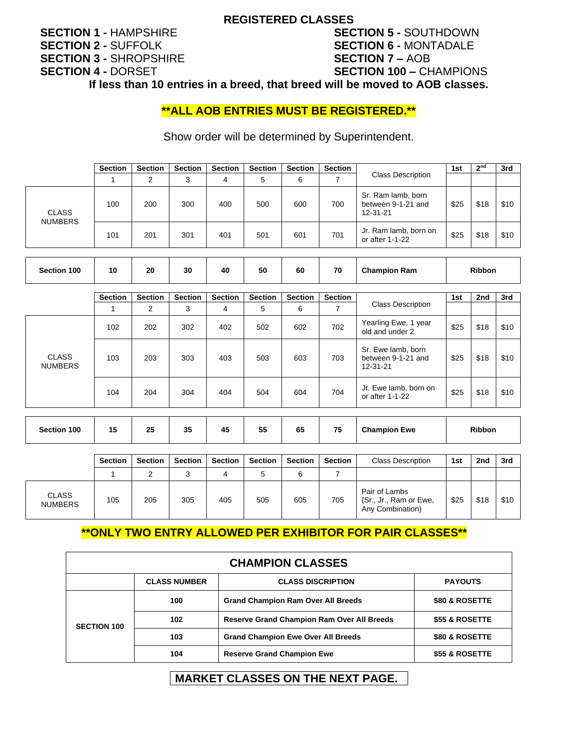#### **REGISTERED CLASSES**

# **SECTION 1 -** HAMPSHIRE **SECTION 2 -** SUFFOLK **SECTION 3 -** SHROPSHIRE **SECTION 4 -** DORSET

# **SECTION 5 -** SOUTHDOWN **SECTION 6 -** MONTADALE **SECTION 7 –** AOB **SECTION 100 –** CHAMPIONS

**If less than 10 entries in a breed, that breed will be moved to AOB classes.**

### **\*\*ALL AOB ENTRIES MUST BE REGISTERED.\*\***

Show order will be determined by Superintendent.

|                                | <b>Section</b> | <b>Section</b> | <b>Section</b> | <b>Section</b> | <b>Section</b> | <b>Section</b> | <b>Section</b> |                                                      | 1st  | 2 <sub>nd</sub> | 3rd  |
|--------------------------------|----------------|----------------|----------------|----------------|----------------|----------------|----------------|------------------------------------------------------|------|-----------------|------|
|                                |                | 2              | 3              | 4              | 5              | 6              |                | <b>Class Description</b>                             |      |                 |      |
| <b>CLASS</b><br><b>NUMBERS</b> | 100            | 200            | 300            | 400            | 500            | 600            | 700            | Sr. Ram lamb, born<br>between 9-1-21 and<br>12-31-21 | \$25 | \$18            | \$10 |
|                                | 101            | 201            | 301            | 401            | 501            | 601            | 701            | Jr. Ram lamb, born on<br>or after 1-1-22             | \$25 | \$18            | \$10 |

| Section 100 | 10 | 20 | 30 | 40 | 50 | 60 | 70 | <b>Champion Ram</b> | Ribbon |
|-------------|----|----|----|----|----|----|----|---------------------|--------|
|-------------|----|----|----|----|----|----|----|---------------------|--------|

|                                | <b>Section</b> | <b>Section</b> | <b>Section</b> | <b>Section</b> | <b>Section</b> | <b>Section</b> | <b>Section</b> |                                                      | 1st           | 2nd  | 3rd  |
|--------------------------------|----------------|----------------|----------------|----------------|----------------|----------------|----------------|------------------------------------------------------|---------------|------|------|
|                                |                | 2              | 3              | 4              | 5              | 6              |                | <b>Class Description</b>                             |               |      |      |
| <b>CLASS</b><br><b>NUMBERS</b> | 102            | 202            | 302            | 402            | 502            | 602            | 702            | Yearling Ewe, 1 year<br>old and under 2              | \$25          | \$18 | \$10 |
|                                | 103            | 203            | 303            | 403            | 503            | 603            | 703            | Sr. Ewe lamb, born<br>between 9-1-21 and<br>12-31-21 | \$25          | \$18 | \$10 |
|                                | 104            | 204            | 304            | 404            | 504            | 604            | 704            | Jr. Ewe lamb, born on<br>or after 1-1-22             | \$25          | \$18 | \$10 |
| Section 100                    | 15             | 25             | 35             | 45             | 55             | 65             | 75             | <b>Champion Ewe</b>                                  | <b>Ribbon</b> |      |      |

|                                | <b>Section</b> | <b>Section</b> | <b>Section</b> | <b>Section</b> | <b>Section</b> | <b>Section</b> | <b>Section</b> | <b>Class Description</b>                                    | 1st  | 2nd  | 3rd  |
|--------------------------------|----------------|----------------|----------------|----------------|----------------|----------------|----------------|-------------------------------------------------------------|------|------|------|
|                                |                |                | ື              |                |                |                |                |                                                             |      |      |      |
| <b>CLASS</b><br><b>NUMBERS</b> | 105            | 205            | 305            | 405            | 505            | 605            | 705            | Pair of Lambs<br>(Sr., Jr., Ram or Ewe,<br>Any Combination) | \$25 | \$18 | \$10 |

# **\*\*ONLY TWO ENTRY ALLOWED PER EXHIBITOR FOR PAIR CLASSES\*\***

| <b>CHAMPION CLASSES</b> |                     |                                                   |                |  |  |  |  |  |
|-------------------------|---------------------|---------------------------------------------------|----------------|--|--|--|--|--|
|                         | <b>CLASS NUMBER</b> | <b>CLASS DISCRIPTION</b>                          | <b>PAYOUTS</b> |  |  |  |  |  |
| <b>SECTION 100</b>      | 100                 | <b>Grand Champion Ram Over All Breeds</b>         | \$80 & ROSETTE |  |  |  |  |  |
|                         | 102                 | <b>Reserve Grand Champion Ram Over All Breeds</b> | \$55 & ROSETTE |  |  |  |  |  |
|                         | 103                 | <b>Grand Champion Ewe Over All Breeds</b>         | \$80 & ROSETTE |  |  |  |  |  |
|                         | 104                 | <b>Reserve Grand Champion Ewe</b>                 | \$55 & ROSETTE |  |  |  |  |  |

# **MARKET CLASSES ON THE NEXT PAGE.**